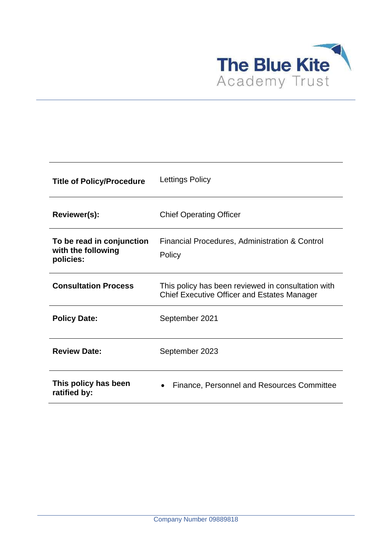

| <b>Title of Policy/Procedure</b>                             | Lettings Policy                                                                                          |
|--------------------------------------------------------------|----------------------------------------------------------------------------------------------------------|
| Reviewer(s):                                                 | <b>Chief Operating Officer</b>                                                                           |
| To be read in conjunction<br>with the following<br>policies: | Financial Procedures, Administration & Control<br>Policy                                                 |
| <b>Consultation Process</b>                                  | This policy has been reviewed in consultation with<br><b>Chief Executive Officer and Estates Manager</b> |
| <b>Policy Date:</b>                                          | September 2021                                                                                           |
| <b>Review Date:</b>                                          | September 2023                                                                                           |
| This policy has been<br>ratified by:                         | Finance, Personnel and Resources Committee                                                               |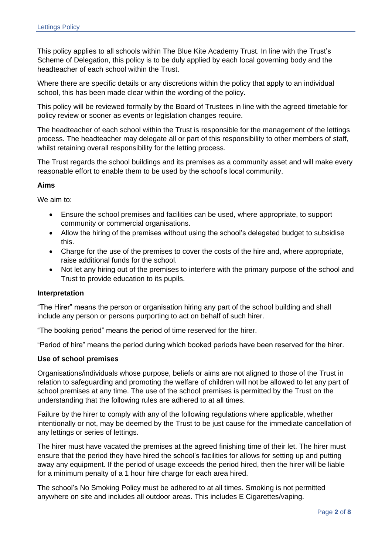This policy applies to all schools within The Blue Kite Academy Trust. In line with the Trust's Scheme of Delegation, this policy is to be duly applied by each local governing body and the headteacher of each school within the Trust.

Where there are specific details or any discretions within the policy that apply to an individual school, this has been made clear within the wording of the policy.

This policy will be reviewed formally by the Board of Trustees in line with the agreed timetable for policy review or sooner as events or legislation changes require.

The headteacher of each school within the Trust is responsible for the management of the lettings process. The headteacher may delegate all or part of this responsibility to other members of staff, whilst retaining overall responsibility for the letting process.

The Trust regards the school buildings and its premises as a community asset and will make every reasonable effort to enable them to be used by the school's local community.

### **Aims**

We aim to:

- Ensure the school premises and facilities can be used, where appropriate, to support community or commercial organisations.
- Allow the hiring of the premises without using the school's delegated budget to subsidise this.
- Charge for the use of the premises to cover the costs of the hire and, where appropriate, raise additional funds for the school.
- Not let any hiring out of the premises to interfere with the primary purpose of the school and Trust to provide education to its pupils.

### **Interpretation**

"The Hirer" means the person or organisation hiring any part of the school building and shall include any person or persons purporting to act on behalf of such hirer.

"The booking period" means the period of time reserved for the hirer.

"Period of hire" means the period during which booked periods have been reserved for the hirer.

### **Use of school premises**

Organisations/individuals whose purpose, beliefs or aims are not aligned to those of the Trust in relation to safeguarding and promoting the welfare of children will not be allowed to let any part of school premises at any time. The use of the school premises is permitted by the Trust on the understanding that the following rules are adhered to at all times.

Failure by the hirer to comply with any of the following regulations where applicable, whether intentionally or not, may be deemed by the Trust to be just cause for the immediate cancellation of any lettings or series of lettings.

The hirer must have vacated the premises at the agreed finishing time of their let. The hirer must ensure that the period they have hired the school's facilities for allows for setting up and putting away any equipment. If the period of usage exceeds the period hired, then the hirer will be liable for a minimum penalty of a 1 hour hire charge for each area hired.

The school's No Smoking Policy must be adhered to at all times. Smoking is not permitted anywhere on site and includes all outdoor areas. This includes E Cigarettes/vaping.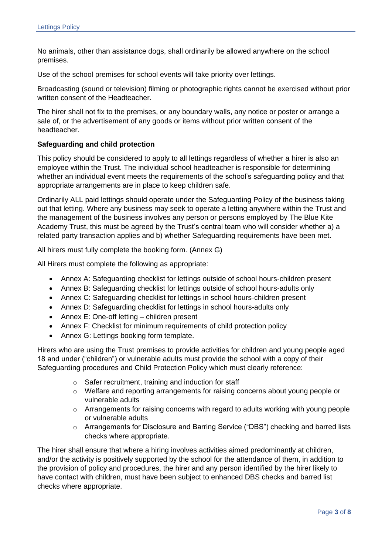No animals, other than assistance dogs, shall ordinarily be allowed anywhere on the school premises.

Use of the school premises for school events will take priority over lettings.

Broadcasting (sound or television) filming or photographic rights cannot be exercised without prior written consent of the Headteacher.

The hirer shall not fix to the premises, or any boundary walls, any notice or poster or arrange a sale of, or the advertisement of any goods or items without prior written consent of the headteacher.

### **Safeguarding and child protection**

This policy should be considered to apply to all lettings regardless of whether a hirer is also an employee within the Trust. The individual school headteacher is responsible for determining whether an individual event meets the requirements of the school's safeguarding policy and that appropriate arrangements are in place to keep children safe.

Ordinarily ALL paid lettings should operate under the Safeguarding Policy of the business taking out that letting. Where any business may seek to operate a letting anywhere within the Trust and the management of the business involves any person or persons employed by The Blue Kite Academy Trust, this must be agreed by the Trust's central team who will consider whether a) a related party transaction applies and b) whether Safeguarding requirements have been met.

All hirers must fully complete the booking form. (Annex G)

All Hirers must complete the following as appropriate:

- Annex A: Safeguarding checklist for lettings outside of school hours-children present
- Annex B: Safeguarding checklist for lettings outside of school hours-adults only
- Annex C: Safeguarding checklist for lettings in school hours-children present
- Annex D: Safeguarding checklist for lettings in school hours-adults only
- Annex E: One-off letting children present
- Annex F: Checklist for minimum requirements of child protection policy
- Annex G: Lettings booking form template.

Hirers who are using the Trust premises to provide activities for children and young people aged 18 and under ("children") or vulnerable adults must provide the school with a copy of their Safeguarding procedures and Child Protection Policy which must clearly reference:

- o Safer recruitment, training and induction for staff
- o Welfare and reporting arrangements for raising concerns about young people or vulnerable adults
- o Arrangements for raising concerns with regard to adults working with young people or vulnerable adults
- o Arrangements for Disclosure and Barring Service ("DBS") checking and barred lists checks where appropriate.

The hirer shall ensure that where a hiring involves activities aimed predominantly at children, and/or the activity is positively supported by the school for the attendance of them, in addition to the provision of policy and procedures, the hirer and any person identified by the hirer likely to have contact with children, must have been subject to enhanced DBS checks and barred list checks where appropriate.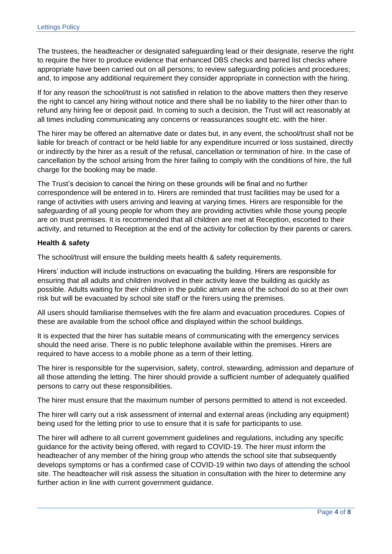The trustees, the headteacher or designated safeguarding lead or their designate, reserve the right to require the hirer to produce evidence that enhanced DBS checks and barred list checks where appropriate have been carried out on all persons; to review safeguarding policies and procedures; and, to impose any additional requirement they consider appropriate in connection with the hiring.

If for any reason the school/trust is not satisfied in relation to the above matters then they reserve the right to cancel any hiring without notice and there shall be no liability to the hirer other than to refund any hiring fee or deposit paid. In coming to such a decision, the Trust will act reasonably at all times including communicating any concerns or reassurances sought etc. with the hirer.

The hirer may be offered an alternative date or dates but, in any event, the school/trust shall not be liable for breach of contract or be held liable for any expenditure incurred or loss sustained, directly or indirectly by the hirer as a result of the refusal, cancellation or termination of hire. In the case of cancellation by the school arising from the hirer failing to comply with the conditions of hire, the full charge for the booking may be made.

The Trust's decision to cancel the hiring on these grounds will be final and no further correspondence will be entered in to. Hirers are reminded that trust facilities may be used for a range of activities with users arriving and leaving at varying times. Hirers are responsible for the safeguarding of all young people for whom they are providing activities while those young people are on trust premises. It is recommended that all children are met at Reception, escorted to their activity, and returned to Reception at the end of the activity for collection by their parents or carers.

# **Health & safety**

The school/trust will ensure the building meets health & safety requirements.

Hirers' induction will include instructions on evacuating the building. Hirers are responsible for ensuring that all adults and children involved in their activity leave the building as quickly as possible. Adults waiting for their children in the public atrium area of the school do so at their own risk but will be evacuated by school site staff or the hirers using the premises.

All users should familiarise themselves with the fire alarm and evacuation procedures. Copies of these are available from the school office and displayed within the school buildings.

It is expected that the hirer has suitable means of communicating with the emergency services should the need arise. There is no public telephone available within the premises. Hirers are required to have access to a mobile phone as a term of their letting.

The hirer is responsible for the supervision, safety, control, stewarding, admission and departure of all those attending the letting. The hirer should provide a sufficient number of adequately qualified persons to carry out these responsibilities.

The hirer must ensure that the maximum number of persons permitted to attend is not exceeded.

The hirer will carry out a risk assessment of internal and external areas (including any equipment) being used for the letting prior to use to ensure that it is safe for participants to use.

The hirer will adhere to all current government guidelines and regulations, including any specific guidance for the activity being offered, with regard to COVID-19. The hirer must inform the headteacher of any member of the hiring group who attends the school site that subsequently develops symptoms or has a confirmed case of COVID-19 within two days of attending the school site. The headteacher will risk assess the situation in consultation with the hirer to determine any further action in line with current government guidance.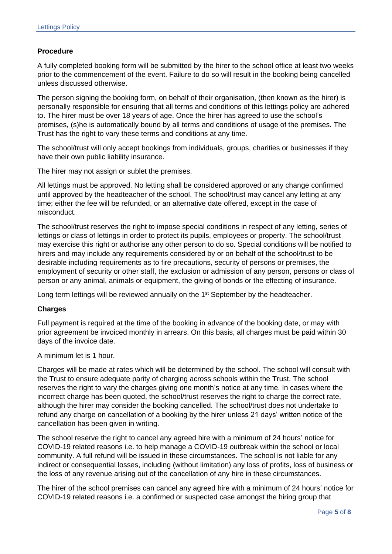# **Procedure**

A fully completed booking form will be submitted by the hirer to the school office at least two weeks prior to the commencement of the event. Failure to do so will result in the booking being cancelled unless discussed otherwise.

The person signing the booking form, on behalf of their organisation, (then known as the hirer) is personally responsible for ensuring that all terms and conditions of this lettings policy are adhered to. The hirer must be over 18 years of age. Once the hirer has agreed to use the school's premises, (s)he is automatically bound by all terms and conditions of usage of the premises. The Trust has the right to vary these terms and conditions at any time.

The school/trust will only accept bookings from individuals, groups, charities or businesses if they have their own public liability insurance.

The hirer may not assign or sublet the premises.

All lettings must be approved. No letting shall be considered approved or any change confirmed until approved by the headteacher of the school. The school/trust may cancel any letting at any time; either the fee will be refunded, or an alternative date offered, except in the case of misconduct.

The school/trust reserves the right to impose special conditions in respect of any letting, series of lettings or class of lettings in order to protect its pupils, employees or property. The school/trust may exercise this right or authorise any other person to do so. Special conditions will be notified to hirers and may include any requirements considered by or on behalf of the school/trust to be desirable including requirements as to fire precautions, security of persons or premises, the employment of security or other staff, the exclusion or admission of any person, persons or class of person or any animal, animals or equipment, the giving of bonds or the effecting of insurance.

Long term lettings will be reviewed annually on the 1<sup>st</sup> September by the headteacher.

### **Charges**

Full payment is required at the time of the booking in advance of the booking date, or may with prior agreement be invoiced monthly in arrears. On this basis, all charges must be paid within 30 days of the invoice date.

A minimum let is 1 hour.

Charges will be made at rates which will be determined by the school. The school will consult with the Trust to ensure adequate parity of charging across schools within the Trust. The school reserves the right to vary the charges giving one month's notice at any time. In cases where the incorrect charge has been quoted, the school/trust reserves the right to charge the correct rate, although the hirer may consider the booking cancelled. The school/trust does not undertake to refund any charge on cancellation of a booking by the hirer unless 21 days' written notice of the cancellation has been given in writing.

The school reserve the right to cancel any agreed hire with a minimum of 24 hours' notice for COVID-19 related reasons i.e. to help manage a COVID-19 outbreak within the school or local community. A full refund will be issued in these circumstances. The school is not liable for any indirect or consequential losses, including (without limitation) any loss of profits, loss of business or the loss of any revenue arising out of the cancellation of any hire in these circumstances.

The hirer of the school premises can cancel any agreed hire with a minimum of 24 hours' notice for COVID-19 related reasons i.e. a confirmed or suspected case amongst the hiring group that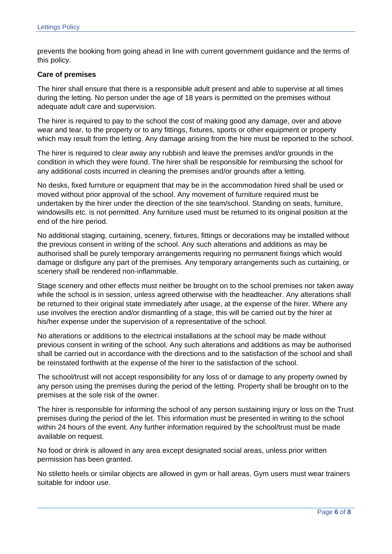prevents the booking from going ahead in line with current government guidance and the terms of this policy.

### **Care of premises**

The hirer shall ensure that there is a responsible adult present and able to supervise at all times during the letting. No person under the age of 18 years is permitted on the premises without adequate adult care and supervision.

The hirer is required to pay to the school the cost of making good any damage, over and above wear and tear, to the property or to any fittings, fixtures, sports or other equipment or property which may result from the letting. Any damage arising from the hire must be reported to the school.

The hirer is required to clear away any rubbish and leave the premises and/or grounds in the condition in which they were found. The hirer shall be responsible for reimbursing the school for any additional costs incurred in cleaning the premises and/or grounds after a letting.

No desks, fixed furniture or equipment that may be in the accommodation hired shall be used or moved without prior approval of the school. Any movement of furniture required must be undertaken by the hirer under the direction of the site team/school. Standing on seats, furniture, windowsills etc. is not permitted. Any furniture used must be returned to its original position at the end of the hire period.

No additional staging, curtaining, scenery, fixtures, fittings or decorations may be installed without the previous consent in writing of the school. Any such alterations and additions as may be authorised shall be purely temporary arrangements requiring no permanent fixings which would damage or disfigure any part of the premises. Any temporary arrangements such as curtaining, or scenery shall be rendered non-inflammable.

Stage scenery and other effects must neither be brought on to the school premises nor taken away while the school is in session, unless agreed otherwise with the headteacher. Any alterations shall be returned to their original state immediately after usage, at the expense of the hirer. Where any use involves the erection and/or dismantling of a stage, this will be carried out by the hirer at his/her expense under the supervision of a representative of the school.

No alterations or additions to the electrical installations at the school may be made without previous consent in writing of the school. Any such alterations and additions as may be authorised shall be carried out in accordance with the directions and to the satisfaction of the school and shall be reinstated forthwith at the expense of the hirer to the satisfaction of the school.

The school/trust will not accept responsibility for any loss of or damage to any property owned by any person using the premises during the period of the letting. Property shall be brought on to the premises at the sole risk of the owner.

The hirer is responsible for informing the school of any person sustaining injury or loss on the Trust premises during the period of the let. This information must be presented in writing to the school within 24 hours of the event. Any further information required by the school/trust must be made available on request.

No food or drink is allowed in any area except designated social areas, unless prior written permission has been granted.

No stiletto heels or similar objects are allowed in gym or hall areas. Gym users must wear trainers suitable for indoor use.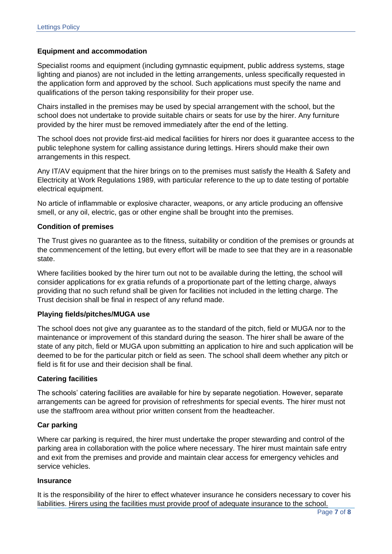# **Equipment and accommodation**

Specialist rooms and equipment (including gymnastic equipment, public address systems, stage lighting and pianos) are not included in the letting arrangements, unless specifically requested in the application form and approved by the school. Such applications must specify the name and qualifications of the person taking responsibility for their proper use.

Chairs installed in the premises may be used by special arrangement with the school, but the school does not undertake to provide suitable chairs or seats for use by the hirer. Any furniture provided by the hirer must be removed immediately after the end of the letting.

The school does not provide first-aid medical facilities for hirers nor does it guarantee access to the public telephone system for calling assistance during lettings. Hirers should make their own arrangements in this respect.

Any IT/AV equipment that the hirer brings on to the premises must satisfy the Health & Safety and Electricity at Work Regulations 1989, with particular reference to the up to date testing of portable electrical equipment.

No article of inflammable or explosive character, weapons, or any article producing an offensive smell, or any oil, electric, gas or other engine shall be brought into the premises.

# **Condition of premises**

The Trust gives no guarantee as to the fitness, suitability or condition of the premises or grounds at the commencement of the letting, but every effort will be made to see that they are in a reasonable state.

Where facilities booked by the hirer turn out not to be available during the letting, the school will consider applications for ex gratia refunds of a proportionate part of the letting charge, always providing that no such refund shall be given for facilities not included in the letting charge. The Trust decision shall be final in respect of any refund made.

# **Playing fields/pitches/MUGA use**

The school does not give any guarantee as to the standard of the pitch, field or MUGA nor to the maintenance or improvement of this standard during the season. The hirer shall be aware of the state of any pitch, field or MUGA upon submitting an application to hire and such application will be deemed to be for the particular pitch or field as seen. The school shall deem whether any pitch or field is fit for use and their decision shall be final.

# **Catering facilities**

The schools' catering facilities are available for hire by separate negotiation. However, separate arrangements can be agreed for provision of refreshments for special events. The hirer must not use the staffroom area without prior written consent from the headteacher.

### **Car parking**

Where car parking is required, the hirer must undertake the proper stewarding and control of the parking area in collaboration with the police where necessary. The hirer must maintain safe entry and exit from the premises and provide and maintain clear access for emergency vehicles and service vehicles.

### **Insurance**

It is the responsibility of the hirer to effect whatever insurance he considers necessary to cover his liabilities. Hirers using the facilities must provide proof of adequate insurance to the school.